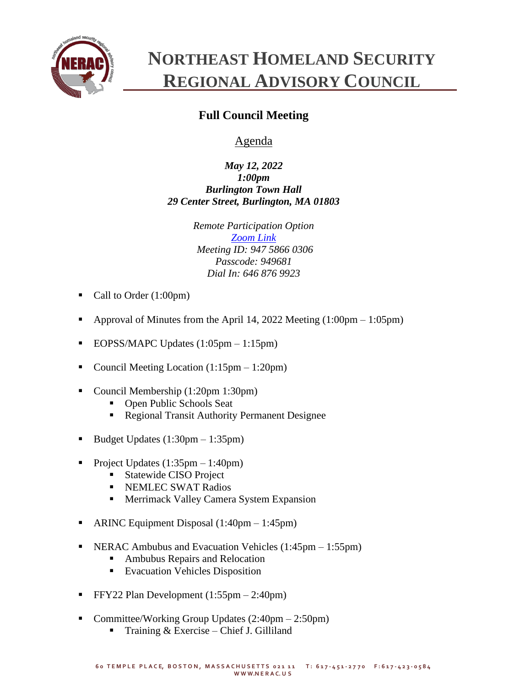

## **NORTHEAST HOMELAND SECURITY REGIONAL ADVISORY COUNCIL**

## **Full Council Meeting**

Agenda

*May 12, 2022 1:00pm Burlington Town Hall 29 Center Street, Burlington, MA 01803*

> *Remote Participation Option [Zoom Link](https://zoom.us/j/94758660306?pwd=SzNhc1dNd0ZYNGg4c0pmalJ1bXVMdz09) Meeting ID: 947 5866 0306 Passcode: 949681 Dial In: 646 876 9923*

- Call to Order (1:00pm)
- Approval of Minutes from the April 14, 2022 Meeting  $(1:00 \text{pm} 1:05 \text{pm})$
- EOPSS/MAPC Updates (1:05pm 1:15pm)
- Council Meeting Location  $(1:15pm 1:20pm)$
- Council Membership (1:20pm 1:30pm)
	- Open Public Schools Seat
	- Regional Transit Authority Permanent Designee
- Budget Updates  $(1:30 \text{pm} 1:35 \text{pm})$
- Project Updates  $(1:35pm 1:40pm)$ 
	- Statewide CISO Project
	- **EXEMPLEC SWAT Radios**
	- **EXECUTE:** Merrimack Valley Camera System Expansion
- ARINC Equipment Disposal  $(1:40 \text{pm} 1:45 \text{pm})$
- NERAC Ambubus and Evacuation Vehicles (1:45pm 1:55pm)
	- Ambubus Repairs and Relocation
	- Evacuation Vehicles Disposition
- **•** FFY22 Plan Development  $(1:55pm 2:40pm)$
- Committee/Working Group Updates  $(2:40 \text{pm} 2:50 \text{pm})$ 
	- Training  $& Exercise Chief J. Gilliland$